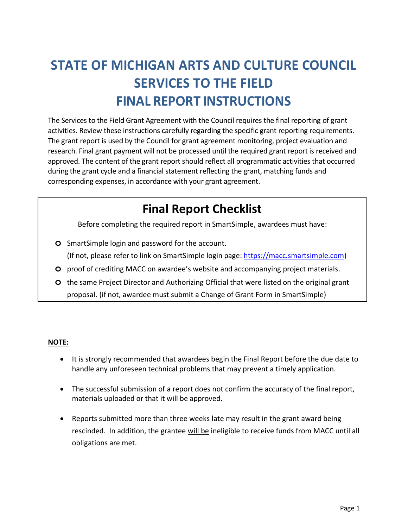# **STATE OF MICHIGAN ARTS AND CULTURE COUNCIL SERVICES TO THE FIELD FINAL REPORT INSTRUCTIONS**

The Services to the Field Grant Agreement with the Council requires the final reporting of grant activities. Review these instructions carefully regarding the specific grant reporting requirements. The grant report is used by the Council for grant agreement monitoring, project evaluation and research. Final grant payment will not be processed until the required grant report is received and approved. The content of the grant report should reflect all programmatic activities that occurred during the grant cycle and a financial statement reflecting the grant, matching funds and corresponding expenses, in accordance with your grant agreement.

## **Final Report Checklist**

Before completing the required report in SmartSimple, awardees must have:

- **o** SmartSimple login and password for the account. (If not, please refer to link on SmartSimple login page: [https://macc.smartsimple.com\)](https://macc.smartsimple.com/)
- **o** proof of crediting MACC on awardee's website and accompanying project materials.
- **o** the same Project Director and Authorizing Official that were listed on the original grant proposal. (if not, awardee must submit a Change of Grant Form in SmartSimple)

#### **NOTE:**

- It is strongly recommended that awardees begin the Final Report before the due date to handle any unforeseen technical problems that may prevent a timely application.
- The successful submission of a report does not confirm the accuracy of the final report, materials uploaded or that it will be approved.
- Reports submitted more than three weeks late may result in the grant award being rescinded. In addition, the grantee will be ineligible to receive funds from MACC until all obligations are met.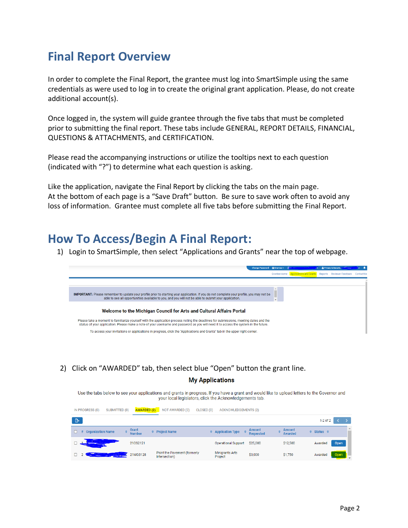### **Final Report Overview**

In order to complete the Final Report, the grantee must log into SmartSimple using the same credentials as were used to log in to create the original grant application. Please, do not create additional account(s).

Once logged in, the system will guide grantee through the five tabs that must be completed prior to submitting the final report. These tabs include GENERAL, REPORT DETAILS, FINANCIAL, QUESTIONS & ATTACHMENTS, and CERTIFICATION.

Please read the accompanying instructions or utilize the tooltips next to each question (indicated with "?") to determine what each question is asking.

Like the application, navigate the Final Report by clicking the tabs on the main page. At the bottom of each page is a "Save Draft" button. Be sure to save work often to avoid any loss of information. Grantee must complete all five tabs before submitting the Final Report.

#### **How To Access/Begin A Final Report:**

1) Login to SmartSimple, then select "Applications and Grants" near the top of webpage.



2) Click on "AWARDED" tab, then select blue "Open" button the grant line.

#### **My Applications**

Use the tabs below to see your applications and grants in progress. If you have a grant and would like to upload letters to the Governor and your local legislators, click the Acknowledgements tab.

|   | IN PROGRESS (0)<br>SUBMITTED (0) | <b>AWARDED (2)</b>     | NOT AWARDED (0)                               | CLOSED (0) | <b>ACKNOWLEDGEMENTS (2)</b> |                                   |                                 |                      |              |      |   |
|---|----------------------------------|------------------------|-----------------------------------------------|------------|-----------------------------|-----------------------------------|---------------------------------|----------------------|--------------|------|---|
| ு |                                  |                        |                                               |            |                             |                                   |                                 |                      | $1-2$ of $2$ |      |   |
|   | <b>Organization Name</b>         | Grant<br><b>Number</b> | <b>Project Name</b>                           |            | $\div$ Application Type     | <b>Amount</b><br><b>Requested</b> | <b>Amount</b><br><b>Awarded</b> | $\div$ Status $\div$ |              |      | A |
|   |                                  | 210S2121               |                                               |            | <b>Operational Support</b>  | \$25,000                          | \$12,500                        | Awarded              |              | Open |   |
|   |                                  | 21MG3128               | Paint the Pavement (formerly<br>Intersection) |            | Minigrants Arts<br>Project  | \$3,000                           | \$1,750                         | Awarded              |              | Open |   |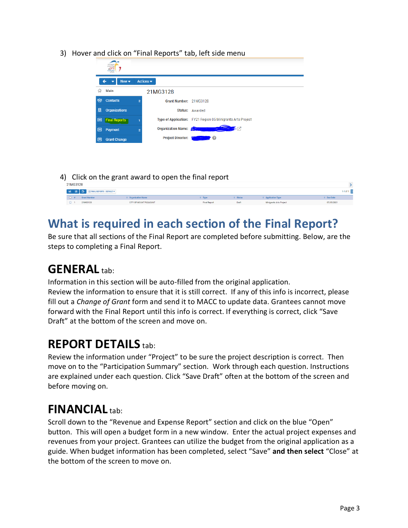3) Hover and click on "Final Reports" tab, left side menu

|    |                               |    | michigan<br>nnu meili<br>arts<br>cultura |                              |                                                   |                     |                                                             |                               |                   |              |               |
|----|-------------------------------|----|------------------------------------------|------------------------------|---------------------------------------------------|---------------------|-------------------------------------------------------------|-------------------------------|-------------------|--------------|---------------|
|    |                               |    | $New -$<br>-                             | Actions $\blacktriangledown$ |                                                   |                     |                                                             |                               |                   |              |               |
|    |                               | 17 | Main                                     |                              | 21MG3128                                          |                     |                                                             |                               |                   |              |               |
|    |                               |    | <b>卷 Contacts</b>                        | $\overline{2}$               | Grant Number: 21MG3128                            |                     |                                                             |                               |                   |              |               |
|    |                               | 圓  | <b>Organizations</b>                     |                              |                                                   | Status: Awarded     |                                                             |                               |                   |              |               |
|    |                               | 圓  | <b>Final Reports</b>                     |                              |                                                   |                     | Type of Application: FY21 Region 05 Minigrants Arts Project |                               |                   |              |               |
|    |                               | 圓  | Payment                                  | $\overline{2}$               | <b>Organization Name:</b>                         |                     |                                                             |                               |                   |              |               |
|    |                               | 圓  | <b>Grant Change</b>                      |                              | <b>Project Director:</b>                          | ℯ                   |                                                             |                               |                   |              |               |
|    |                               |    |                                          |                              |                                                   |                     |                                                             |                               |                   |              |               |
|    |                               |    |                                          |                              |                                                   |                     |                                                             |                               |                   |              |               |
|    |                               |    |                                          |                              |                                                   |                     |                                                             |                               |                   |              |               |
| 4) |                               |    |                                          |                              | Click on the grant award to open the final report |                     |                                                             |                               |                   |              |               |
|    | 21MG3128                      |    |                                          |                              |                                                   |                     |                                                             |                               |                   |              | $\rightarrow$ |
|    | B.<br>畫                       |    | E FINAL REPORTS - DEFAULT *              |                              |                                                   |                     |                                                             |                               |                   | $1-1$ of $1$ |               |
|    | $\Box$<br><b>Grant Number</b> |    |                                          | <b>C</b> Organization Name   |                                                   | $0$ Type            | <b>c</b> Status                                             | <sup>©</sup> Application Type | <b>C</b> Due Date |              |               |
|    | $\Box$ 1<br>21MG3128          |    |                                          | CITY OF MOUNT PLEASANT       |                                                   | <b>Final Report</b> | Draft                                                       | Minigrants Arts Project       | 07/05/2021        |              |               |

## **What is required in each section of the Final Report?**

Be sure that all sections of the Final Report are completed before submitting. Below, are the steps to completing a Final Report.

#### **GENERAL** tab:

Information in this section will be auto-filled from the original application. Review the information to ensure that it is still correct. If any of this info is incorrect, please fill out a *Change of Grant* form and send it to MACC to update data. Grantees cannot move forward with the Final Report until this info is correct. If everything is correct, click "Save Draft" at the bottom of the screen and move on.

### **REPORT DETAILS** tab:

Review the information under "Project" to be sure the project description is correct. Then move on to the "Participation Summary" section. Work through each question. Instructions are explained under each question. Click "Save Draft" often at the bottom of the screen and before moving on.

## **FINANCIAL** tab:

Scroll down to the "Revenue and Expense Report" section and click on the blue "Open" button. This will open a budget form in a new window. Enter the actual project expenses and revenues from your project. Grantees can utilize the budget from the original application as a guide. When budget information has been completed, select "Save" **and then select** "Close" at the bottom of the screen to move on.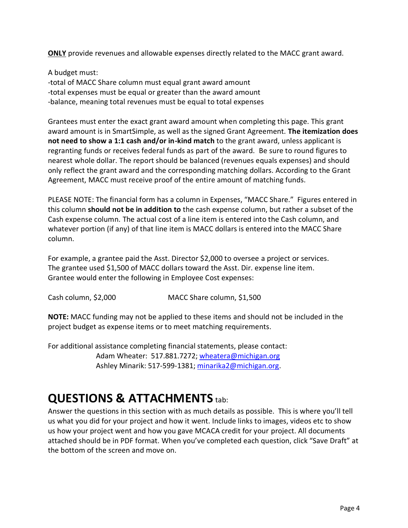**ONLY** provide revenues and allowable expenses directly related to the MACC grant award.

A budget must: -total of MACC Share column must equal grant award amount -total expenses must be equal or greater than the award amount -balance, meaning total revenues must be equal to total expenses

Grantees must enter the exact grant award amount when completing this page. This grant award amount is in SmartSimple, as well as the signed Grant Agreement. **The itemization does not need to show a 1:1 cash and/or in-kind match** to the grant award, unless applicant is regranting funds or receives federal funds as part of the award. Be sure to round figures to nearest whole dollar. The report should be balanced (revenues equals expenses) and should only reflect the grant award and the corresponding matching dollars. According to the Grant Agreement, MACC must receive proof of the entire amount of matching funds.

PLEASE NOTE: The financial form has a column in Expenses, "MACC Share." Figures entered in this column **should not be in addition to** the cash expense column, but rather a subset of the Cash expense column. The actual cost of a line item is entered into the Cash column, and whatever portion (if any) of that line item is MACC dollars is entered into the MACC Share column.

For example, a grantee paid the Asst. Director \$2,000 to oversee a project or services. The grantee used \$1,500 of MACC dollars toward the Asst. Dir. expense line item. Grantee would enter the following in Employee Cost expenses:

Cash column, \$2,000 MACC Share column, \$1,500

**NOTE:** MACC funding may not be applied to these items and should not be included in the project budget as expense items or to meet matching requirements.

For additional assistance completing financial statements, please contact: Adam Wheater: 517.881.7272; [wheatera@michigan.org](mailto:wheatera@michigan.org) Ashley Minarik: 517-599-1381; [minarika2@michigan.org.](mailto:minarika2@michigan.org)

## **QUESTIONS & ATTACHMENTS** tab:

Answer the questions in this section with as much details as possible. This is where you'll tell us what you did for your project and how it went. Include links to images, videos etc to show us how your project went and how you gave MCACA credit for your project. All documents attached should be in PDF format. When you've completed each question, click "Save Draft" at the bottom of the screen and move on.